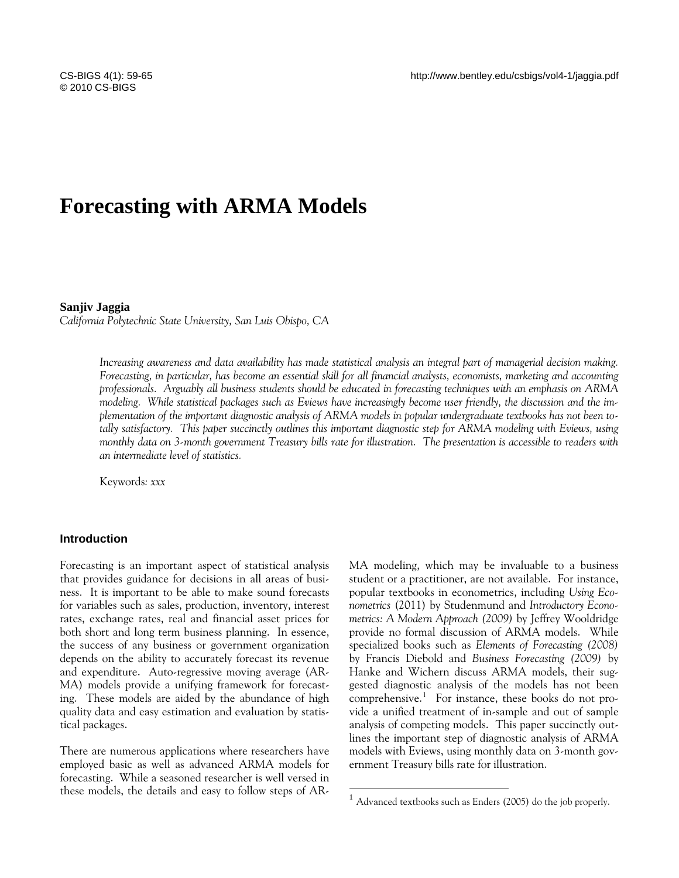# **Forecasting with ARMA Models**

#### **Sanjiv Jaggia**

*California Polytechnic State University, San Luis Obispo, CA* 

*Increasing awareness and data availability has made statistical analysis an integral part of managerial decision making. Forecasting, in particular, has become an essential skill for all financial analysts, economists, marketing and accounting professionals. Arguably all business students should be educated in forecasting techniques with an emphasis on ARMA modeling. While statistical packages such as Eviews have increasingly become user friendly, the discussion and the implementation of the important diagnostic analysis of ARMA models in popular undergraduate textbooks has not been totally satisfactory. This paper succinctly outlines this important diagnostic step for ARMA modeling with Eviews, using monthly data on 3-month government Treasury bills rate for illustration. The presentation is accessible to readers with an intermediate level of statistics.* 

 $\overline{a}$ 

Keywords*: xxx* 

## **Introduction**

Forecasting is an important aspect of statistical analysis that provides guidance for decisions in all areas of business. It is important to be able to make sound forecasts for variables such as sales, production, inventory, interest rates, exchange rates, real and financial asset prices for both short and long term business planning. In essence, the success of any business or government organization depends on the ability to accurately forecast its revenue and expenditure. Auto-regressive moving average (AR-MA) models provide a unifying framework for forecasting. These models are aided by the abundance of high quality data and easy estimation and evaluation by statistical packages.

<span id="page-0-0"></span>There are numerous applications where researchers have employed basic as well as advanced ARMA models for forecasting. While a seasoned researcher is well versed in these models, the details and easy to follow steps of AR- MA modeling, which may be invaluable to a business student or a practitioner, are not available. For instance, popular textbooks in econometrics, including *Using Econometrics* (2011) by Studenmund and *Introductory Econometrics: A Modern Approach (2009)* by Jeffrey Wooldridge provide no formal discussion of ARMA models. While specialized books such as *Elements of Forecasting (2008)* by Francis Diebold and *Business Forecasting (2009)* by Hanke and Wichern discuss ARMA models, their suggested diagnostic analysis of the models has not been comprehensive.[1](#page-0-0) For instance, these books do not provide a unified treatment of in-sample and out of sample analysis of competing models. This paper succinctly outlines the important step of diagnostic analysis of ARMA models with Eviews, using monthly data on 3-month government Treasury bills rate for illustration.

 $1$  Advanced textbooks such as Enders (2005) do the job properly.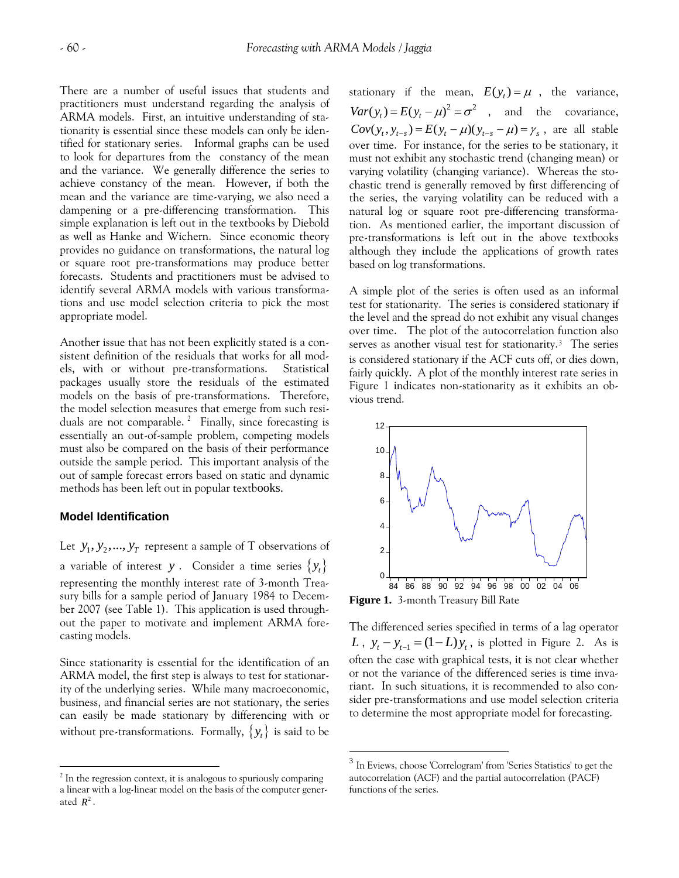There are a number of useful issues that students and practitioners must understand regarding the analysis of ARMA models. First, an intuitive understanding of stationarity is essential since these models can only be identified for stationary series. Informal graphs can be used to look for departures from the constancy of the mean and the variance. We generally difference the series to achieve constancy of the mean. However, if both the mean and the variance are time-varying, we also need a dampening or a pre-differencing transformation. This simple explanation is left out in the textbooks by Diebold as well as Hanke and Wichern. Since economic theory provides no guidance on transformations, the natural log or square root pre-transformations may produce better forecasts. Students and practitioners must be advised to identify several ARMA models with various transformations and use model selection criteria to pick the most appropriate model.

Another issue that has not been explicitly stated is a consistent definition of the residuals that works for all models, with or without pre-transformations. Statistical packages usually store the residuals of the estimated models on the basis of pre-transformations. Therefore, the model selection measures that emerge from such resi-duals are not comparable.<sup>[2](#page-1-0)</sup> Finally, since forecasting is essentially an out-of-sample problem, competing models must also be compared on the basis of their performance outside the sample period. This important analysis of the out of sample forecast errors based on static and dynamic methods has been left out in popular textbooks.

### **Model Identification**

<span id="page-1-1"></span> $\overline{a}$ 

Let  $y_1, y_2, ..., y_T$  represent a sample of T observations of a variable of interest  $y$  . Consider a time series  $\{y_t\}$ representing the monthly interest rate of 3-month Treasury bills for a sample period of January 1984 to December 2007 (see Table 1). This application is used throughout the paper to motivate and implement ARMA forecasting models.

Since stationarity is essential for the identification of an ARMA model, the first step is always to test for stationarity of the underlying series. While many macroeconomic, business, and financial series are not stationary, the series can easily be made stationary by differencing with or without pre-transformations. Formally,  $\{y_t\}$  is said to be

stationary if the mean,  $E(y_t) = \mu$ , the variance,  $Var(y_t) = E(y_t - \mu)^2 = \sigma^2$ , and the covariance,  $Cov(y_t, y_{t-s}) = E(y_t - \mu)(y_{t-s} - \mu) = \gamma_s$ , are all stable over time. For instance, for the series to be stationary, it must not exhibit any stochastic trend (changing mean) or varying volatility (changing variance). Whereas the stochastic trend is generally removed by first differencing of the series, the varying volatility can be reduced with a natural log or square root pre-differencing transformation. As mentioned earlier, the important discussion of pre-transformations is left out in the above textbooks although they include the applications of growth rates based on log transformations.

A simple plot of the series is often used as an informal test for stationarity. The series is considered stationary if the level and the spread do not exhibit any visual changes over time. The plot of the autocorrelation function also serves as another visual test for stationarity.*[3](#page-1-1)* The series is considered stationary if the ACF cuts off, or dies down, fairly quickly. A plot of the monthly interest rate series in Figure 1 indicates non-stationarity as it exhibits an obvious trend.



**Figure 1.** 3-month Treasury Bill Rate

 $\overline{a}$ 

The differenced series specified in terms of a lag operator *L*,  $y_t - y_{t-1} = (1 - L)y_t$ , is plotted in Figure 2. As is often the case with graphical tests, it is not clear whether or not the variance of the differenced series is time invariant. In such situations, it is recommended to also consider pre-transformations and use model selection criteria to determine the most appropriate model for forecasting.

<span id="page-1-0"></span>ated  $R^2$ .  $2$  In the regression context, it is analogous to spuriously comparing a linear with a log-linear model on the basis of the computer gener-

<sup>3</sup> In Eviews, choose 'Correlogram' from 'Series Statistics' to get the autocorrelation (ACF) and the partial autocorrelation (PACF) functions of the series.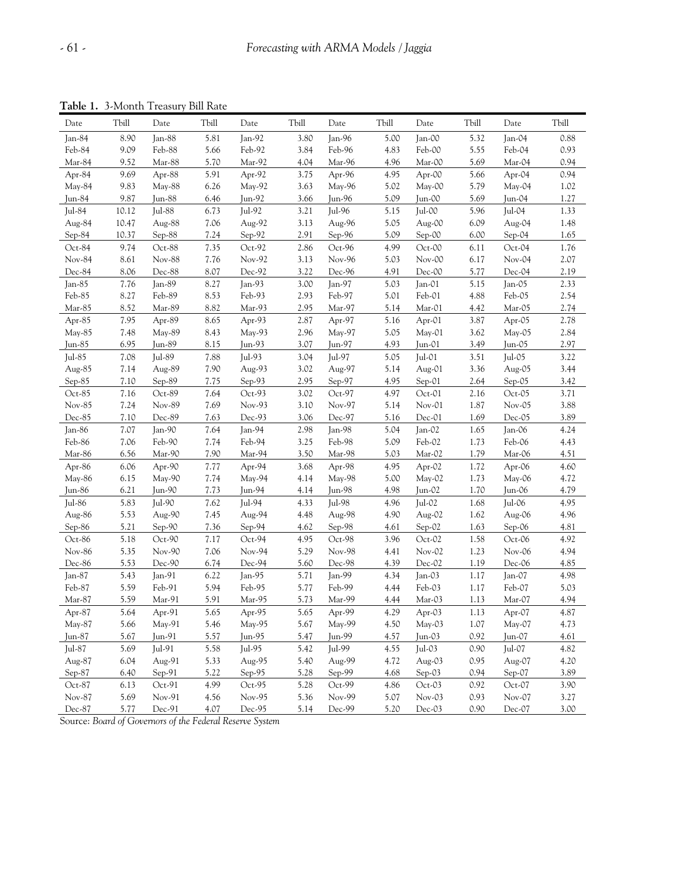**Table 1.** 3-Month Treasury Bill Rate

| $\frac{1}{2}$ |       |           | 5.1   |          |       |          |       |           |       |           |       |
|---------------|-------|-----------|-------|----------|-------|----------|-------|-----------|-------|-----------|-------|
| Date          | Tbill | Date      | Tbill | Date     | Tbill | Date     | Tbill | Date      | Tbill | Date      | Tbill |
| Jan-84        | 8.90  | Jan-88    | 5.81  | Jan-92   | 3.80  | $Jan-96$ | 5.00  | Jan-00    | 5.32  | Jan- $04$ | 0.88  |
| Feb-84        | 9.09  | Feb-88    | 5.66  | Feb-92   | 3.84  | Feb-96   | 4.83  | Feb-00    | 5.55  | Feb-04    | 0.93  |
| Mar-84        | 9.52  | Mar-88    | 5.70  | Mar-92   | 4.04  | Mar-96   | 4.96  | Mar-00    | 5.69  | Mar-04    | 0.94  |
| Apr-84        | 9.69  | Apr-88    | 5.91  | Apr-92   | 3.75  | Apr-96   | 4.95  | Apr-00    | 5.66  | Apr-04    | 0.94  |
| May-84        | 9.83  | May-88    | 6.26  | $May-92$ | 3.63  | May-96   | 5.02  | May-00    | 5.79  | May-04    | 1.02  |
| Jun-84        | 9.87  | Jun-88    | 6.46  | Jun-92   | 3.66  | Jun-96   | 5.09  | Jun-00    | 5.69  | Jun-04    | 1.27  |
| Jul- $84$     | 10.12 | Jul-88    | 6.73  | Jul-92   | 3.21  | Jul-96   | 5.15  | Jul-00    | 5.96  | Jul-04    | 1.33  |
| Aug-84        | 10.47 | Aug-88    | 7.06  | Aug-92   | 3.13  | Aug-96   | 5.05  | Aug-00    | 6.09  | Aug-04    | 1.48  |
| Sep-84        | 10.37 | Sep-88    | 7.24  | $Sep-92$ | 2.91  | Sep-96   | 5.09  | Sep-00    | 6.00  | $Sep-04$  | 1.65  |
| Oct-84        | 9.74  | Oct-88    | 7.35  | Oct-92   | 2.86  | Oct-96   | 4.99  | Oct-00    | 6.11  | Oct-04    | 1.76  |
| Nov-84        | 8.61  | Nov-88    | 7.76  | Nov-92   | 3.13  | Nov-96   | 5.03  | Nov-00    | 6.17  | Nov-04    | 2.07  |
| Dec-84        | 8.06  | Dec-88    | 8.07  | Dec-92   | 3.22  | Dec-96   | 4.91  | $Dec-00$  | 5.77  | $Dec-04$  | 2.19  |
| Jan-85        | 7.76  | Jan-89    | 8.27  | $Jan-93$ | 3.00  | Jan-97   | 5.03  | Jan- $O1$ | 5.15  | Jan-05    | 2.33  |
| Feb-85        | 8.27  | Feb-89    | 8.53  | Feb-93   | 2.93  | Feb-97   | 5.01  | Feb-01    | 4.88  | Feb-05    | 2.54  |
| Mar-85        | 8.52  | Mar-89    | 8.82  | Mar-93   | 2.95  | Mar-97   | 5.14  | Mar-01    | 4.42  | Mar-05    | 2.74  |
| Apr-85        | 7.95  | Apr-89    | 8.65  | Apr-93   | 2.87  | Apr-97   | 5.16  | Apr-01    | 3.87  | $Apr-05$  | 2.78  |
| May-85        | 7.48  | $May-89$  | 8.43  | $May-93$ | 2.96  | $May-97$ | 5.05  | $May-01$  | 3.62  | $Mav-05$  | 2.84  |
| Jun-85        | 6.95  | Jun-89    | 8.15  | Jun-93   | 3.07  | Jun-97   | 4.93  | Jun-01    | 3.49  | Jun-05    | 2.97  |
| Jul- $85$     | 7.08  | Jul-89    | 7.88  | Jul-93   | 3.04  | Jul-97   | 5.05  | $ ul-01 $ | 3.51  | Jul-05    | 3.22  |
| Aug-85        | 7.14  | Aug-89    | 7.90  | Aug-93   | 3.02  | Aug-97   | 5.14  | Aug-01    | 3.36  | Aug-05    | 3.44  |
| Sep-85        | 7.10  | Sep-89    | 7.75  | $Sep-93$ | 2.95  | Sep-97   | 4.95  | Sep-01    | 2.64  | $Sep-05$  | 3.42  |
| $Oct-85$      | 7.16  | Oct-89    | 7.64  | Oct-93   | 3.02  | Oct-97   | 4.97  | Oct-01    | 2.16  | Oct-05    | 3.71  |
| Nov-85        | 7.24  | Nov-89    | 7.69  | Nov-93   | 3.10  | Nov-97   | 5.14  | $Nov-01$  | 1.87  | Nov-05    | 3.88  |
| Dec-85        | 7.10  | Dec-89    | 7.63  | Dec-93   | 3.06  | Dec-97   | 5.16  | Dec-01    | 1.69  | Dec-05    | 3.89  |
| Jan-86        | 7.07  | Jan- $90$ | 7.64  | Jan-94   | 2.98  | $Jan-98$ | 5.04  | Jan- $O2$ | 1.65  | Jan-06    | 4.24  |
| Feb-86        | 7.06  | Feb-90    | 7.74  | Feb-94   | 3.25  | Feb-98   | 5.09  | Feb-02    | 1.73  | Feb-06    | 4.43  |
| Mar-86        | 6.56  | Mar-90    | 7.90  | Mar-94   | 3.50  | Mar-98   | 5.03  | Mar-02    | 1.79  | Mar-06    | 4.51  |
| Apr-86        | 6.06  | Apr-90    | 7.77  | Apr-94   | 3.68  | Apr-98   | 4.95  | Apr-02    | 1.72  | $Apr-06$  | 4.60  |
| $May-86$      | 6.15  | $May-90$  | 7.74  | May-94   | 4.14  | $May-98$ | 5.00  | $May-02$  | 1.73  | $May-06$  | 4.72  |
| Jun- $86$     | 6.21  | Jun-90    | 7.73  | Jun-94   | 4.14  | $Jun-98$ | 4.98  | Jun-02    | 1.70  | Jun-06    | 4.79  |
| Jul-86        | 5.83  | $ ul-90 $ | 7.62  | Jul-94   | 4.33  | Jul-98   | 4.96  | Jul-02    | 1.68  | Jul-06    | 4.95  |
| Aug-86        | 5.53  | Aug-90    | 7.45  | Aug-94   | 4.48  | Aug-98   | 4.90  | Aug-02    | 1.62  | Aug-06    | 4.96  |
| Sep-86        | 5.21  | $Sep-90$  | 7.36  | Sep-94   | 4.62  | Sep-98   | 4.61  | Sep-02    | 1.63  | $Sep-06$  | 4.81  |
| Oct-86        | 5.18  | Oct-90    | 7.17  | Oct-94   | 4.95  | Oct-98   | 3.96  | Oct-02    | 1.58  | Oct-06    | 4.92  |
| Nov-86        | 5.35  | Nov-90    | 7.06  | Nov-94   | 5.29  | Nov-98   | 4.41  | Nov-02    | 1.23  | Nov-06    | 4.94  |
| Dec-86        | 5.53  | Dec-90    | 6.74  | Dec-94   | 5.60  | Dec-98   | 4.39  | Dec-02    | 1.19  | $Dec-06$  | 4.85  |
| Jan-87        | 5.43  | Jan-91    | 6.22  | Jan-95   | 5.71  | Jan-99   | 4.34  | Jan-03    | 1.17  | Jan-07    | 4.98  |
| Feb-87        | 5.59  | Feb-91    | 5.94  | Feb-95   | 5.77  | Feb-99   | 4.44  | Feb-03    | 1.17  | Feb-07    | 5.03  |
| Mar-87        | 5.59  | Mar-91    | 5.91  | Mar-95   | 5.73  | Mar-99   | 4.44  | Mar-03    | 1.13  | Mar-07    | 4.94  |
| Apr-87        | 5.64  | Apr-91    | 5.65  | Apr-95   | 5.65  | Apr-99   | 4.29  | Apr-03    | 1.13  | Apr-07    | 4.87  |
| $May-87$      | 5.66  | May-91    | 5.46  | May-95   | 5.67  | May-99   | 4.50  | May-03    | 1.07  | May-07    | 4.73  |
| Jun-87        | 5.67  | Jun-91    | 5.57  | Jun-95   | 5.47  | Jun-99   | 4.57  | Jun-03    | 0.92  | Jun-07    | 4.61  |
| Jul-87        | 5.69  | Jul-91    | 5.58  | Jul-95   | 5.42  | Jul-99   | 4.55  | Jul-03    | 0.90  | Jul-07    | 4.82  |
| Aug-87        | 6.04  | Aug-91    | 5.33  | Aug-95   | 5.40  | Aug-99   | 4.72  | Aug-03    | 0.95  | Aug-07    | 4.20  |
| Sep-87        | 6.40  | $Sep-91$  | 5.22  | Sep-95   | 5.28  | Sep-99   | 4.68  | $Sep-03$  | 0.94  | Sep-07    | 3.89  |
| Oct-87        | 6.13  | Oct-91    | 4.99  | Oct-95   | 5.28  | Oct-99   | 4.86  | Oct-03    | 0.92  | Oct-07    | 3.90  |
| Nov-87        | 5.69  | Nov-91    | 4.56  | $Nov-95$ | 5.36  | Nov-99   | 5.07  | Nov-03    | 0.93  | Nov-07    | 3.27  |
| Dec-87        | 5.77  | Dec-91    | 4.07  | Dec-95   | 5.14  | Dec-99   | 5.20  | Dec-03    | 0.90  | Dec-07    | 3.00  |
|               |       |           |       |          |       |          |       |           |       |           |       |

Source: *Board of Governors of the Federal Reserve System*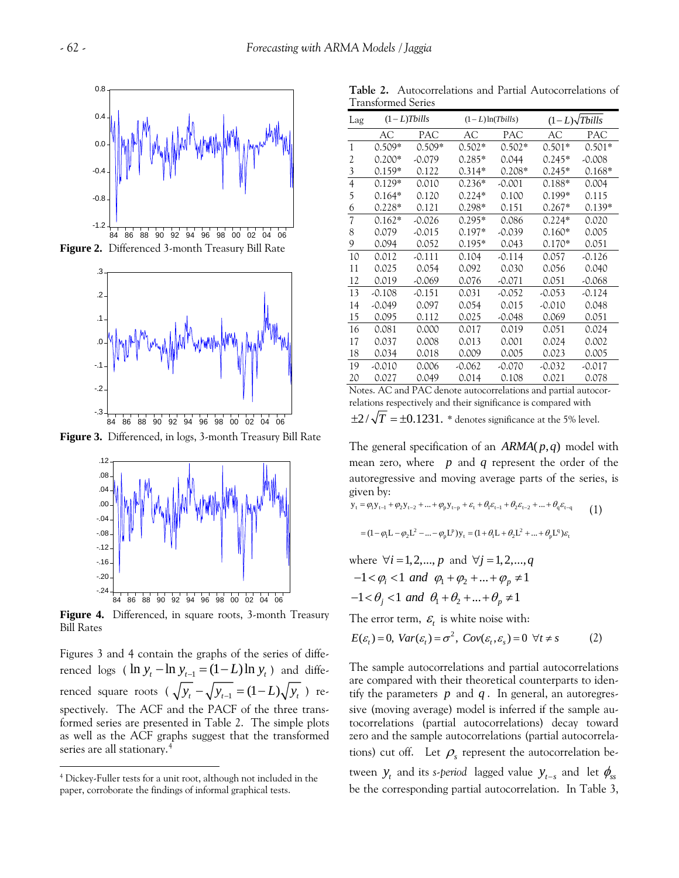

**Figure 2.** Differenced 3-month Treasury Bill Rate



**Figure 3.** Differenced, in logs, 3-month Treasury Bill Rate



**Figure 4.** Differenced, in square roots, 3-month Treasury Bill Rates

*t t tenced* logs (  $\ln y_t - \ln y_{t-1} = (1 - L) \ln y_t$  ) and diffe-Figures 3 and 4 contain the graphs of the series of differenced square roots (  $\sqrt{y_t} - \sqrt{y_{t-1}} = (1-L)\sqrt{y_t}$  ) respectively. The ACF and the PACF of the three transformed series are presented in Table 2. The simple plots as well as the ACF graphs suggest that the transformed series are all stationary.[4](#page-3-0)

 $\overline{a}$ 

|                    | <b>Table 2.</b> Autocorrelations and Partial Autocorrelations of |  |  |
|--------------------|------------------------------------------------------------------|--|--|
| Transformed Series |                                                                  |  |  |

| Lag                      |          | $(1-L)$ Tbills |          | $(1-L)\ln(Tbills)$ | $(1-L)\sqrt{T}$ bills |          |
|--------------------------|----------|----------------|----------|--------------------|-----------------------|----------|
|                          | AC       | PAC            | AС       | PAC                | AC                    | PAC      |
| 1                        | $0.509*$ | $0.509*$       | $0.502*$ | $0.502*$           | $0.501*$              | $0.501*$ |
| 2                        | $0.200*$ | $-0.079$       | $0.285*$ | 0.044              | $0.245*$              | $-0.008$ |
| 3                        | $0.159*$ | 0.122          | $0.314*$ | $0.208*$           | $0.245*$              | $0.168*$ |
| 4                        | $0.129*$ | 0.010          | $0.236*$ | $-0.001$           | $0.188*$              | 0.004    |
| 5                        | $0.164*$ | 0.120          | $0.224*$ | 0.100              | $0.199*$              | 0.115    |
| 6                        | $0.228*$ | 0.121          | $0.298*$ | 0.151              | $0.267*$              | $0.139*$ |
| $\overline{\mathcal{U}}$ | $0.162*$ | $-0.026$       | $0.295*$ | 0.086              | $0.224*$              | 0.020    |
| 8                        | 0.079    | $-0.015$       | $0.197*$ | $-0.039$           | $0.160*$              | 0.005    |
| 9                        | 0.094    | 0.052          | $0.195*$ | 0.043              | $0.170*$              | 0.051    |
| 10                       | 0.012    | $-0.111$       | 0.104    | $-0.114$           | 0.057                 | $-0.126$ |
| 11                       | 0.025    | 0.054          | 0.092    | 0.030              | 0.056                 | 0.040    |
| 12                       | 0.019    | -0.069         | 0.076    | -0.071             | 0.051                 | -0.068   |
| 13                       | $-0.108$ | -0.151         | 0.031    | $-0.052$           | $-0.053$              | $-0.124$ |
| 14                       | $-0.049$ | 0.097          | 0.054    | 0.015              | $-0.010$              | 0.048    |
| 15                       | 0.095    | 0.112          | 0.025    | -0.048             | 0.069                 | 0.051    |
| 16                       | 0.081    | 0.000          | 0.017    | 0.019              | 0.051                 | 0.024    |
| 17                       | 0.037    | 0.008          | 0.013    | 0.001              | 0.024                 | 0.002    |
| 18                       | 0.034    | 0.018          | 0.009    | 0.005              | 0.023                 | 0.005    |
| 19                       | $-0.010$ | 0.006          | $-0.062$ | -0.070             | $-0.032$              | $-0.017$ |
| 20                       | 0.027    | 0.049          | 0.014    | 0.108              | 0.021                 | 0.078    |
|                          |          |                |          |                    |                       |          |

Notes. AC and PAC denote autocorrelations and partial autocorrelations respectively and their significance is compared with

 $\pm 2/\sqrt{T} = \pm 0.1231$ . *\** denotes significance at the 5% level.

The general specification of an  $ARMA(p, q)$  model with mean zero, where  $p$  and  $q$  represent the order of the autoregressive and moving average parts of the series, is given by:

$$
y_{t} = \varphi_{1} y_{t-1} + \varphi_{2} y_{t-2} + \dots + \varphi_{p} y_{t-p} + \varepsilon_{t} + \theta_{t} \varepsilon_{t-1} + \theta_{2} \varepsilon_{t-2} + \dots + \theta_{q} \varepsilon_{t-q}
$$
 (1)

$$
= (1 - \varphi_1 L - \varphi_2 L^2 - ... - \varphi_p L^p) y_t = (1 + \theta_1 L + \theta_2 L^2 + ... + \theta_p L^q) \varepsilon_t
$$

where 
$$
\forall i = 1, 2, ..., p
$$
 and  $\forall j = 1, 2, ..., q$   
-1 <  $\varphi_i$  < 1 and  $\varphi_1 + \varphi_2 + ... + \varphi_p \neq 1$   
-1 <  $\theta_j$  < 1 and  $\theta_1 + \theta_2 + ... + \theta_p \neq 1$ 

The error term,  $\varepsilon$  is white noise with:

$$
E(\varepsilon_t) = 0, \text{Var}(\varepsilon_t) = \sigma^2, \text{Cov}(\varepsilon_t, \varepsilon_s) = 0 \ \forall t \neq s \tag{2}
$$

The sample autocorrelations and partial autocorrelations are compared with their theoretical counterparts to identify the parameters  $p$  and  $q$ . In general, an autoregressive (moving average) model is inferred if the sample autocorrelations (partial autocorrelations) decay toward zero and the sample autocorrelations (partial autocorrelations) cut off. Let  $\rho_{s}$  represent the autocorrelation between  $y_t$  and its *s-period* lagged value  $y_{t-s}$  and let  $\phi_{ss}$ be the corresponding partial autocorrelation. In Table 3,

<span id="page-3-0"></span><sup>4</sup> Dickey-Fuller tests for a unit root, although not included in the paper, corroborate the findings of informal graphical tests.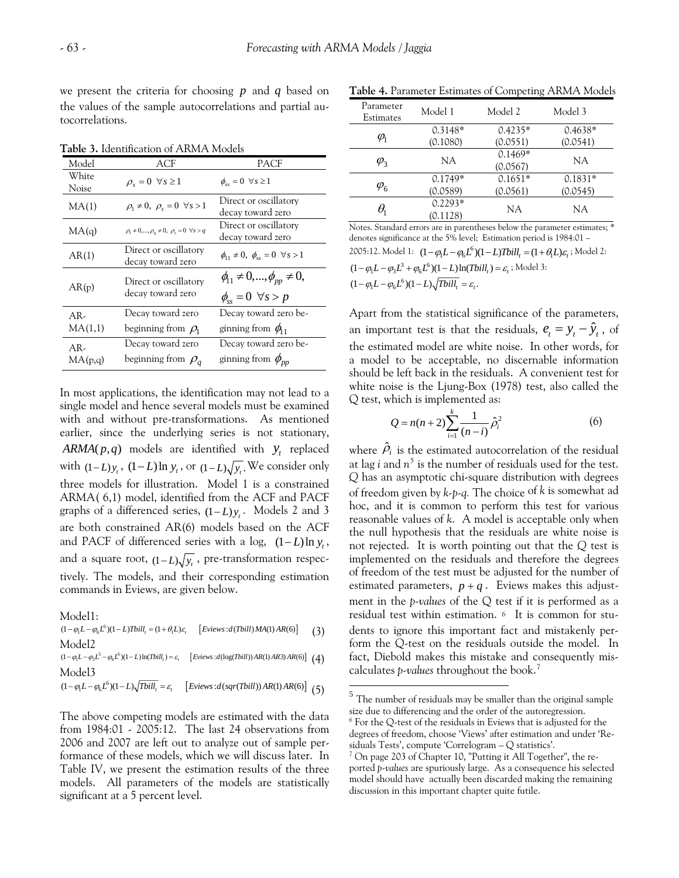we present the criteria for choosing  $p$  and  $q$  based on the values of the sample autocorrelations and partial autocorrelations.

| Model            | ACF                                                            | PACF                                                                       |
|------------------|----------------------------------------------------------------|----------------------------------------------------------------------------|
| White<br>Noise   | $\rho_s = 0 \quad \forall s \geq 1$                            | $\phi_{ss} = 0 \quad \forall s \geq 1$                                     |
| MA(1)            | $\rho_1 \neq 0$ , $\rho_s = 0 \ \forall s > 1$                 | Direct or oscillatory<br>decay toward zero                                 |
| MA(q)            | $\rho_1 \neq 0, , \rho_a \neq 0, \ \rho_s = 0 \ \forall s > q$ | Direct or oscillatory<br>decay toward zero                                 |
| AR(1)            | Direct or oscillatory<br>decay toward zero                     | $\phi_{11} \neq 0$ , $\phi_{ss} = 0 \ \forall s > 1$                       |
| AR(p)            | Direct or oscillatory<br>decay toward zero                     | $\phi_{11} \neq 0, , \phi_{pp} \neq 0,$<br>$\phi_{ss} = 0 \ \forall s > p$ |
| $AR-$<br>MA(1,1) | Decay toward zero<br>beginning from $\rho_1$                   | Decay toward zero be-<br>ginning from $\phi_{11}$                          |
| AR-<br>MA(p,q)   | Decay toward zero<br>beginning from $\rho_a$                   | Decay toward zero be-<br>ginning from $\phi_{pp}$                          |

**Table 3.** Identification of ARMA Models

In most applications, the identification may not lead to a single model and hence several models must be examined with and without pre-transformations. As mentioned earlier, since the underlying series is not stationary,  $ARMA(p, q)$  models are identified with  $y_t$  replaced with  $(1-L)y_t$ ,  $(1-L)\ln y_t$ , or  $(1-L)\sqrt{y_t}$ . We consider only graphs of a differenced series,  $(1 - L)y_t$ . Models 2 and 3 three models for illustration. Model 1 is a constrained ARMA( 6,1) model, identified from the ACF and PACF are both constrained AR(6) models based on the ACF and PACF of differenced series with a log,  $(1-L)\ln y_t$ , and a square root,  $(1 - L)\sqrt{y_t}$ , pre-transformation respectively. The models, and their corresponding estimation commands in Eviews, are given below.

Model1:

$$
(1 - \varphi_1 L - \varphi_6 L^6)(1 - L)Tbill_i = (1 + \theta_1 L)\varepsilon_i \qquad \left[Eviews:d(Tbill)MA(1)AR(6)\right] \tag{3}
$$
  
Model2

 $(1 - \varphi_1 L - \varphi_3 L^3 - \varphi_6 L^6)(1 - L) \ln(Tbill_i) = \varepsilon_i \quad \left[ Eviews : d(\log(Tbill)) AR(1) AR3) AR(6) \right]$  (4) Model3

<span id="page-4-0"></span> $(1 - \varphi_1 L - \varphi_6 L^6)(1 - L)\sqrt{Tbill_i} = \varepsilon_i$  [*Eviews :d*(sqr(Tbill)) AR(1) AR(6)] (5)

<span id="page-4-2"></span><span id="page-4-1"></span>The above competing models are estimated with the data from 1984:01 - 2005:12. The last 24 observations from 2006 and 2007 are left out to analyze out of sample performance of these models, which we will discuss later. In Table IV, we present the estimation results of the three models. All parameters of the models are statistically significant at a 5 percent level.

**Table 4.** Parameter Estimates of Competing ARMA Models

| Parameter<br>Estimates                   | Model 1   | Model 2   | Model 3   |  |
|------------------------------------------|-----------|-----------|-----------|--|
|                                          | $0.3148*$ | $0.4235*$ | $0.4638*$ |  |
| $\varphi$                                | (0.1080)  | (0.0551)  | (0.0541)  |  |
|                                          | NA        | $0.1469*$ | NA        |  |
| $\varphi$ <sub>3</sub>                   |           | (0.0567)  |           |  |
|                                          | $0.1749*$ | $0.1651*$ | $0.1831*$ |  |
| $\varphi_{\scriptscriptstyle\mathsf{G}}$ | (0.0589)  | (0.0561)  | (0.0545)  |  |
|                                          | $0.2293*$ | NA        | NA.       |  |
|                                          | (0.1128)  |           |           |  |

Notes. Standard errors are in parentheses below the parameter estimates; \* denotes significance at the 5% level; Estimation period is 1984:01 – 2005:12. Model 1:  $(1 - \varphi_1 L - \varphi_6 L^6)(1 - L) \text{Tbill}_t = (1 + \theta_1 L)\varepsilon_t$ ; Model 2:  $(1 - \varphi_1 L - \varphi_3 L^3 + \varphi_6 L^6)(1 - L) \ln(Tbill_t) = \varepsilon_t$ ; Model 3:  $(1 - \varphi_1 L - \varphi_6 L^6)(1 - L) \sqrt{Tbill_t} = \varepsilon_t.$ 

Apart from the statistical significance of the parameters, an important test is that the residuals,  $e_t = y_t - \hat{y}_t$ , of the estimated model are white noise. In other words, for a model to be acceptable, no discernable information should be left back in the residuals. A convenient test for white noise is the Ljung-Box (1978) test, also called the Q test, which is implemented as:

$$
Q = n(n+2) \sum_{i=1}^{k} \frac{1}{(n-i)} \hat{\rho}_i^2
$$
 (6)

where  $\hat{\rho}_i$  is the estimated autocorrelation of the residual at lag *i* and  $n^5$  $n^5$  is the number of residuals used for the test. *Q* has an asymptotic chi-square distribution with degrees of freedom given by *k-p-q.* The choice of *k* is somewhat ad hoc, and it is common to perform this test for various reasonable values of *k*. A model is acceptable only when the null hypothesis that the residuals are white noise is not rejected. It is worth pointing out that the *Q* test is implemented on the residuals and therefore the degrees of freedom of the test must be adjusted for the number of estimated parameters,  $p + q$ . Eviews makes this adjustment in the *p-values* of the Q test if it is performed as a residual test within estimation. *[6](#page-4-1)* It is common for students to ignore this important fact and mistakenly perform the Q-test on the residuals outside the model. In fact, Diebold makes this mistake and consequently miscalculates *p-values* throughout the book.[7](#page-4-2)

 $\overline{a}$ 

 $5$  The number of residuals may be smaller than the original sample size due to differencing and the order of the autoregression.  $^6$  For the Q-test of the residuals in Eviews that is adjusted for the degrees of freedom, choose 'Views' after estimation and under 'Residuals Tests', compute 'Correlogram – Q statistics'.

<sup>&</sup>lt;sup>7</sup> On page 203 of Chapter 10, "Putting it All Together", the reported *p-values* are spuriously large. As a consequence his selected model should have actually been discarded making the remaining discussion in this important chapter quite futile.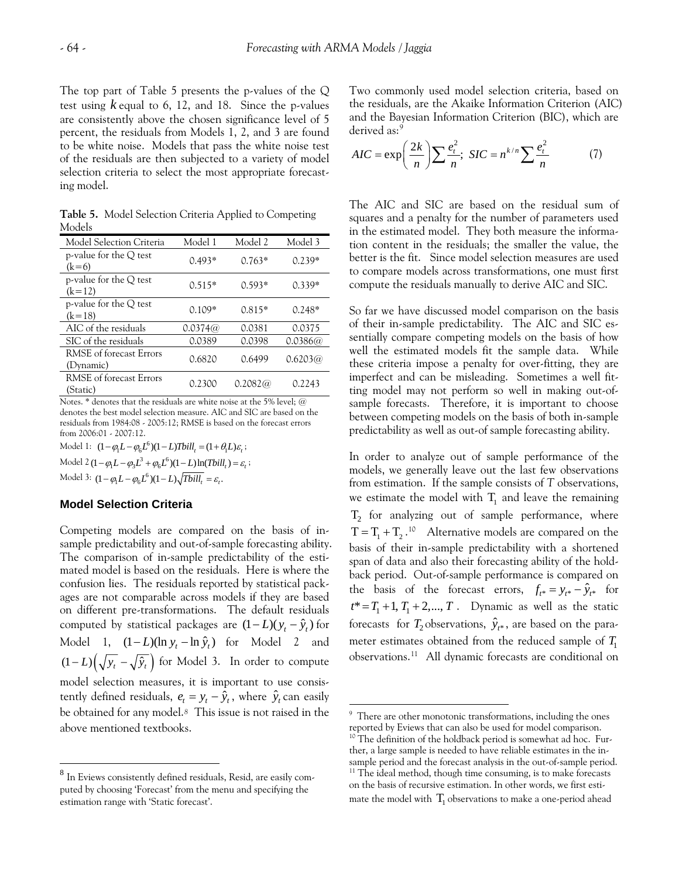The top part of Table 5 presents the p-values of the Q test using  $k$  equal to 6, 12, and 18. Since the p-values are consistently above the chosen significance level of 5 percent, the residuals from Models 1, 2, and 3 are found to be white noise. Models that pass the white noise test of the residuals are then subjected to a variety of model selection criteria to select the most appropriate forecasting model.

**Table 5.** Model Selection Criteria Applied to Competing Models

| Model Selection Criteria             | Model 1  | Model 2  | Model 3  |
|--------------------------------------|----------|----------|----------|
| p-value for the Q test<br>$(k=6)$    | $0.493*$ | $0.763*$ | $0.239*$ |
| p-value for the $Q$ test<br>$(k=12)$ | $0.515*$ | $0.593*$ | $0.339*$ |
| p-value for the $Q$ test<br>$(k=18)$ | $0.109*$ | $0.815*$ | $0.248*$ |
| AIC of the residuals                 | 0.0374@  | 0.0381   | 0.0375   |
| SIC of the residuals                 | 0.0389   | 0.0398   | 0.0386@  |
| RMSE of forecast Errors<br>(Dynamic) | 0.6820   | 0.6499   | 0.6203@  |
| RMSE of forecast Errors<br>(Static)  | 0.2300   | 0.2082@  | 0.2243   |

Notes.  $*$  denotes that the residuals are white noise at the 5% level; @ denotes the best model selection measure. AIC and SIC are based on the residuals from 1984:08 - 2005:12; RMSE is based on the forecast errors from 2006:01 - 2007:12.

Model 1:  $(1 - \varphi_1 L - \varphi_6 L^6)(1 - L) \text{Total}_t = (1 + \theta_1 L)\varepsilon_t$ ; Model 2  $(1 - \varphi_1 L - \varphi_3 L^3 + \varphi_6 L^6)(1 - L) \ln(Tbi l l_t) = \varepsilon_t$ ; Model 3:  $(1 - \varphi_1 L - \varphi_6 L^6)(1 - L) \sqrt{Tbi l l_t} = \varepsilon_t$ .

#### **Model Selection Criteria**

<span id="page-5-2"></span><span id="page-5-1"></span> $\overline{a}$ 

Competing models are compared on the basis of insample predictability and out-of-sample forecasting ability. The comparison of in-sample predictability of the estimated model is based on the residuals. Here is where the confusion lies. The residuals reported by statistical packages are not comparable across models if they are based on different pre-transformations. The default residuals computed by statistical packages are  $(1 - L)(y_t - \hat{y}_t)$  for Model 1,  $(1 - L)(\ln y_t - \ln \hat{y}_t)$  for Model 2 and  $(1 - L) \left( \sqrt{y_t} - \sqrt{\hat{y}_t} \right)$  for Model 3. In order to compute model selection measures, it is important to use consistently defined residuals,  $e_t = y_t - \hat{y}_t$ , where  $\hat{y}_t$  can easily be obtained for any model.*[8](#page-5-0)* This issue is not raised in the above mentioned textbooks.

Two commonly used model selection criteria, based on the residuals, are the Akaike Information Criterion (AIC) and the Bayesian Information Criterion (BIC), which are derived as:<sup>[9](#page-5-1)</sup>

$$
AIC = \exp\left(\frac{2k}{n}\right) \sum \frac{e_i^2}{n}; \, SIC = n^{k/n} \sum \frac{e_i^2}{n} \tag{7}
$$

The AIC and SIC are based on the residual sum of squares and a penalty for the number of parameters used in the estimated model. They both measure the information content in the residuals; the smaller the value, the better is the fit. Since model selection measures are used to compare models across transformations, one must first compute the residuals manually to derive AIC and SIC.

So far we have discussed model comparison on the basis of their in-sample predictability. The AIC and SIC essentially compare competing models on the basis of how well the estimated models fit the sample data. While these criteria impose a penalty for over-fitting, they are imperfect and can be misleading. Sometimes a well fitting model may not perform so well in making out-ofsample forecasts. Therefore, it is important to choose between competing models on the basis of both in-sample predictability as well as out-of sample forecasting ability.

 $T = T_1 + T_2$ .<sup>[10](#page-5-2)</sup> Alternative models are compared on the In order to analyze out of sample performance of the models, we generally leave out the last few observations from estimation. If the sample consists of *T* observations, we estimate the model with  $T_1$  and leave the remaining  $T_2$  for analyzing out of sample performance, where basis of their in-sample predictability with a shortened span of data and also their forecasting ability of the holdback period. Out-of-sample performance is compared on the basis of the forecast errors,  $f_{t^*} = y_{t^*} - \hat{y}_{t^*}$  for  $t^* = T_1 + 1, T_1 + 2, \dots, T$ . Dynamic as well as the static forecasts for  $T_2$  observations,  $\hat{y}_{t^*}$ , are based on the parameter estimates obtained from the reduced sample of  $T_{\rm 1}$ observations. [11](#page-5-3) All dynamic forecasts are conditional on

 $\overline{a}$ 

<span id="page-5-3"></span><span id="page-5-0"></span><sup>8</sup> In Eviews consistently defined residuals, Resid, are easily computed by choosing 'Forecast' from the menu and specifying the estimation range with 'Static forecast'.

<sup>&</sup>lt;sup>9</sup> There are other monotonic transformations, including the ones reported by Eviews that can also be used for model comparison. 10 The definition of the holdback period is somewhat ad hoc. Further, a large sample is needed to have reliable estimates in the insample period and the forecast analysis in the out-of-sample period. 11 The ideal method, though time consuming, is to make forecasts

mate the model with  $\, T_{1}$  observations to make a one-period ahead on the basis of recursive estimation. In other words, we first esti-